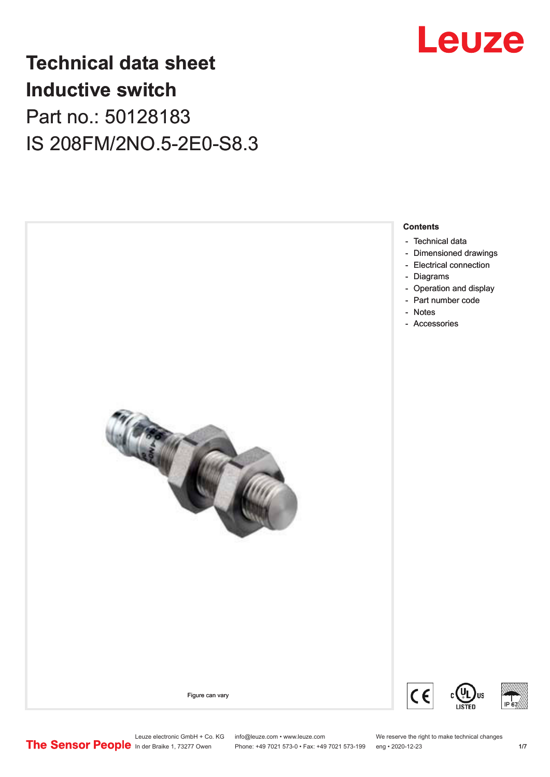

## **Technical data sheet Inductive switch** Part no.: 50128183 IS 208FM/2NO.5-2E0-S8.3



Leuze electronic GmbH + Co. KG info@leuze.com • www.leuze.com We reserve the right to make technical changes<br>
The Sensor People in der Braike 1, 73277 Owen Phone: +49 7021 573-0 • Fax: +49 7021 573-199 eng • 2020-12-23

Phone: +49 7021 573-0 • Fax: +49 7021 573-199 eng • 2020-12-23 1 /7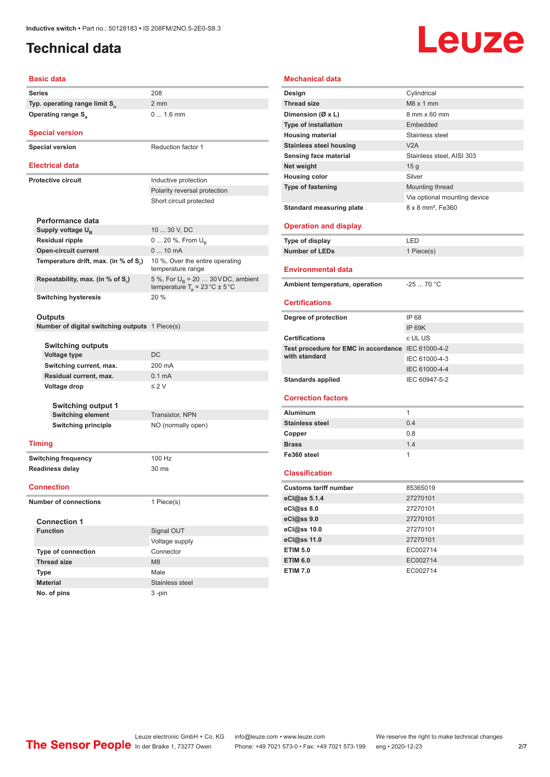### <span id="page-1-0"></span>**Technical data**

# Leuze

#### **Basic data Series** 208 **Typ. operating range limit S<sup>n</sup>** 2 mm **Operating range S<sub>a</sub>** 0 ... 1.6 mm **Special version Special version** Reduction factor 1 **Electrical data Protective circuit** Inductive protection Polarity reversal protection Short circuit protected **Performance data** Supply voltage U<sub>B</sub> 10 ... 30 V, DC **Residual ripple** 0 ... 20 %, From U<sub>B</sub> **Open-circuit current** 0 ... 10 mA **Temperature drift, max. (in % of S<sup>r</sup> )** 10 %, Over the entire operating temperature range **Repeatability, max. (in % of S<sup>r</sup> )** 5 %, For  $U_B = 20$  ... 30 V DC, ambient temperature T<sub>a</sub> = 23 °C  $\pm$  5 °C **Switching hysteresis** 20 % **Outputs Number of digital switching outputs** 1 Piece(s) **Switching outputs Voltage type** DC **Switching current, max.** 200 mA **Residual current, max.** 0.1 mA **Voltage drop** ≤ 2 V **Switching output 1 Switching element** Transistor, NPN **Switching principle** NO (normally open) **Timing Switching frequency** 100 Hz **Readiness delay** 30 ms **Connection Number of connections** 1 Piece(s) **Connection 1 Signal OUT** Voltage supply **Type of connection** Connector

| <b>Mechanical data</b>                             |                               |
|----------------------------------------------------|-------------------------------|
| Design                                             | Cylindrical                   |
| <b>Thread size</b>                                 | M8 x 1 mm                     |
| Dimension (Ø x L)                                  | 8 mm x 60 mm                  |
| <b>Type of installation</b>                        | Embedded                      |
| <b>Housing material</b>                            | Stainless steel               |
| <b>Stainless steel housing</b>                     | V2A                           |
| Sensing face material                              | Stainless steel, AISI 303     |
| Net weight                                         | 15 <sub>g</sub>               |
| <b>Housing color</b>                               | Silver                        |
| <b>Type of fastening</b>                           | Mounting thread               |
|                                                    | Via optional mounting device  |
| <b>Standard measuring plate</b>                    | 8 x 8 mm <sup>2</sup> , Fe360 |
|                                                    |                               |
| <b>Operation and display</b>                       |                               |
| Type of display                                    | LED                           |
| <b>Number of LEDs</b>                              | 1 Piece(s)                    |
| <b>Environmental data</b>                          |                               |
| Ambient temperature, operation                     | $-2570 °C$                    |
|                                                    |                               |
| <b>Certifications</b>                              |                               |
| Degree of protection                               | IP 68                         |
|                                                    | <b>IP 69K</b>                 |
| <b>Certifications</b>                              | c UL US                       |
| Test procedure for EMC in accordance IEC 61000-4-2 |                               |
| with standard                                      | IEC 61000-4-3                 |
|                                                    | IEC 61000-4-4                 |
| <b>Standards applied</b>                           | IEC 60947-5-2                 |
|                                                    |                               |
| <b>Correction factors</b>                          |                               |
| <b>Aluminum</b>                                    | 1                             |
| <b>Stainless steel</b>                             | 0.4                           |
| Copper                                             | 0.8                           |
| <b>Brass</b>                                       | 1.4                           |
| Fe360 steel                                        | 1                             |
| <b>Classification</b>                              |                               |
| <b>Customs tariff number</b>                       | 85365019                      |
| eCl@ss 5.1.4                                       | 27270101                      |
| eCl@ss 8.0                                         | 27270101                      |
| eCl@ss 9.0                                         | 27270101                      |
| eCl@ss 10.0                                        | 27270101                      |
| eCl@ss 11.0                                        | 27270101                      |
| <b>ETIM 5.0</b>                                    | EC002714                      |
| <b>ETIM 6.0</b>                                    | EC002714                      |
| <b>ETIM 7.0</b>                                    | EC002714                      |
|                                                    |                               |

Leuze electronic GmbH + Co. KG info@leuze.com • www.leuze.com We reserve the right to make technical changes<br>
The Sensor People in der Braike 1, 73277 Owen Phone: +49 7021 573-0 • Fax: +49 7021 573-199 eng • 2020-12-23

**Thread size** M8 **Type** Male **Material** Stainless steel **No. of pins** 3 -pin

Phone: +49 7021 573-0 • Fax: +49 7021 573-199 eng • 2020-12-23 277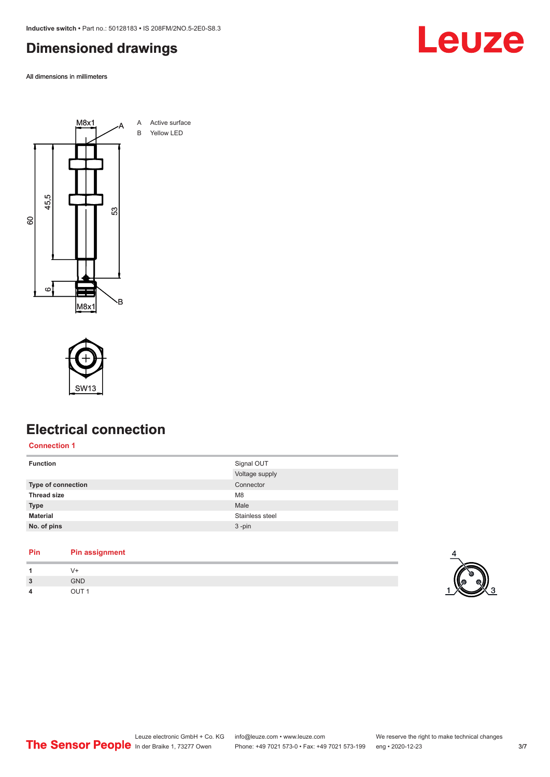<span id="page-2-0"></span>**Inductive switch •** Part no.: 50128183 **•** IS 208FM/2NO.5-2E0-S8.3

#### **Dimensioned drawings**

All dimensions in millimeters





#### **Electrical connection**

**Connection 1**

| <b>Function</b>           | Signal OUT      |
|---------------------------|-----------------|
|                           | Voltage supply  |
| <b>Type of connection</b> | Connector       |
| <b>Thread size</b>        | M <sub>8</sub>  |
| <b>Type</b>               | Male            |
| <b>Material</b>           | Stainless steel |
| No. of pins               | $3 - pin$       |
|                           |                 |

#### **Pin Pin assignment 1** V+

| $\mathbf{3}$ | <b>GND</b>       |
|--------------|------------------|
|              | OUT <sub>1</sub> |

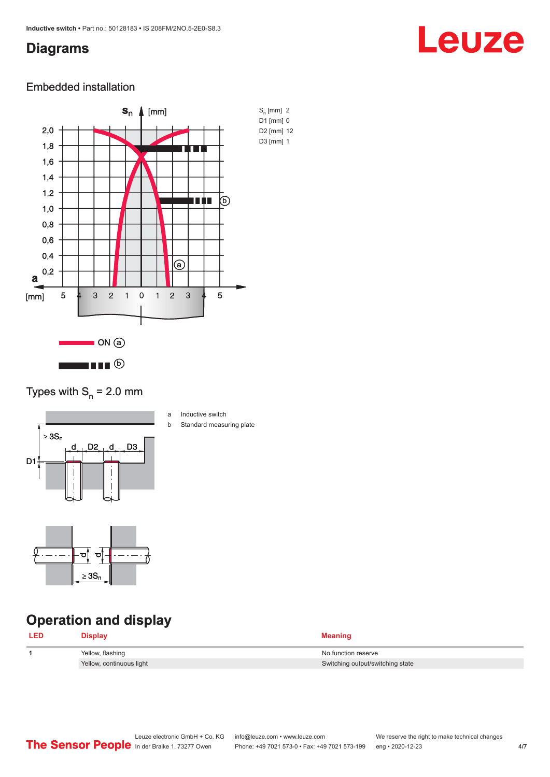#### <span id="page-3-0"></span>**Diagrams**

# Leuze

#### Embedded installation



#### Types with  $S_n = 2.0$  mm



- a Inductive switch
- b Standard measuring plate



### **Operation and display**

| <b>LED</b> | Display                  | <b>Meaning</b>                   |
|------------|--------------------------|----------------------------------|
|            | Yellow, flashing         | No function reserve              |
|            | Yellow, continuous light | Switching output/switching state |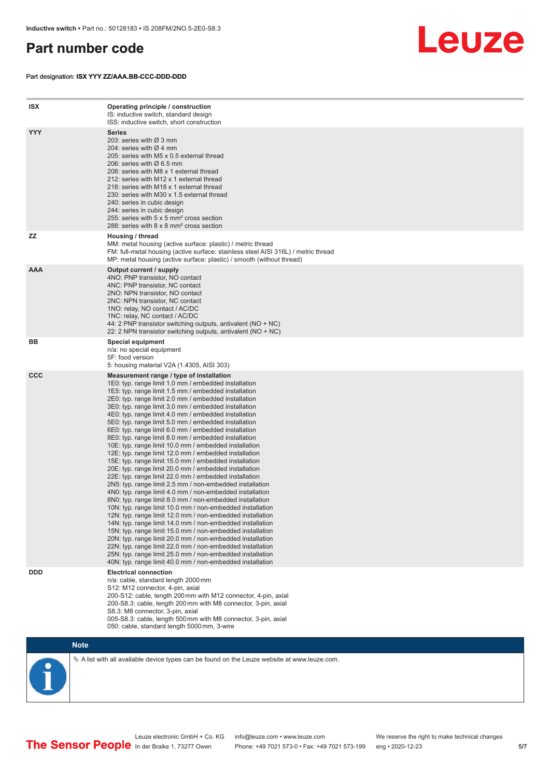#### <span id="page-4-0"></span>**Part number code**

Part designation: **ISX YYY ZZ/AAA.BB-CCC-DDD-DDD**



| <b>ISX</b> | Operating principle / construction<br>IS: inductive switch, standard design<br>ISS: inductive switch, short construction                                                                                                                                                                                                                                                                                                                                                                                                                                                                                                                                                                                                                                                                                                                                                                                                                                                                                                                                                                                                                                                                                                                                                                                                                                                                                                                                                                          |
|------------|---------------------------------------------------------------------------------------------------------------------------------------------------------------------------------------------------------------------------------------------------------------------------------------------------------------------------------------------------------------------------------------------------------------------------------------------------------------------------------------------------------------------------------------------------------------------------------------------------------------------------------------------------------------------------------------------------------------------------------------------------------------------------------------------------------------------------------------------------------------------------------------------------------------------------------------------------------------------------------------------------------------------------------------------------------------------------------------------------------------------------------------------------------------------------------------------------------------------------------------------------------------------------------------------------------------------------------------------------------------------------------------------------------------------------------------------------------------------------------------------------|
| <b>YYY</b> | <b>Series</b><br>203: series with Ø 3 mm<br>204: series with $\varnothing$ 4 mm<br>205: series with M5 x 0.5 external thread<br>206: series with $\varnothing$ 6.5 mm<br>208: series with M8 x 1 external thread<br>212: series with M12 x 1 external thread<br>218: series with M18 x 1 external thread<br>230: series with M30 x 1.5 external thread<br>240: series in cubic design<br>244: series in cubic design<br>255: series with 5 x 5 mm <sup>2</sup> cross section<br>288: series with 8 x 8 mm <sup>2</sup> cross section                                                                                                                                                                                                                                                                                                                                                                                                                                                                                                                                                                                                                                                                                                                                                                                                                                                                                                                                                              |
| ZZ         | Housing / thread<br>MM: metal housing (active surface: plastic) / metric thread<br>FM: full-metal housing (active surface: stainless steel AISI 316L) / metric thread<br>MP: metal housing (active surface: plastic) / smooth (without thread)                                                                                                                                                                                                                                                                                                                                                                                                                                                                                                                                                                                                                                                                                                                                                                                                                                                                                                                                                                                                                                                                                                                                                                                                                                                    |
| <b>AAA</b> | Output current / supply<br>4NO: PNP transistor, NO contact<br>4NC: PNP transistor, NC contact<br>2NO: NPN transistor, NO contact<br>2NC: NPN transistor, NC contact<br>1NO: relay, NO contact / AC/DC<br>1NC: relay, NC contact / AC/DC<br>44: 2 PNP transistor switching outputs, antivalent (NO + NC)<br>22: 2 NPN transistor switching outputs, antivalent (NO + NC)                                                                                                                                                                                                                                                                                                                                                                                                                                                                                                                                                                                                                                                                                                                                                                                                                                                                                                                                                                                                                                                                                                                           |
| BB         | Special equipment<br>n/a: no special equipment<br>5F: food version<br>5: housing material V2A (1.4305, AISI 303)                                                                                                                                                                                                                                                                                                                                                                                                                                                                                                                                                                                                                                                                                                                                                                                                                                                                                                                                                                                                                                                                                                                                                                                                                                                                                                                                                                                  |
| <b>CCC</b> | Measurement range / type of installation<br>1E0: typ. range limit 1.0 mm / embedded installation<br>1E5: typ. range limit 1.5 mm / embedded installation<br>2E0: typ. range limit 2.0 mm / embedded installation<br>3E0: typ. range limit 3.0 mm / embedded installation<br>4E0: typ. range limit 4.0 mm / embedded installation<br>5E0: typ. range limit 5.0 mm / embedded installation<br>6E0: typ. range limit 6.0 mm / embedded installation<br>8E0: typ. range limit 8.0 mm / embedded installation<br>10E: typ. range limit 10.0 mm / embedded installation<br>12E: typ. range limit 12.0 mm / embedded installation<br>15E: typ. range limit 15.0 mm / embedded installation<br>20E: typ. range limit 20.0 mm / embedded installation<br>22E: typ. range limit 22.0 mm / embedded installation<br>2N5: typ. range limit 2.5 mm / non-embedded installation<br>4N0: typ. range limit 4.0 mm / non-embedded installation<br>8NO: typ. range limit 8.0 mm / non-embedded installation<br>10N: typ. range limit 10.0 mm / non-embedded installation<br>12N: typ. range limit 12.0 mm / non-embedded installation<br>14N: typ. range limit 14.0 mm / non-embedded installation<br>15N: typ. range limit 15.0 mm / non-embedded installation<br>20N: typ. range limit 20.0 mm / non-embedded installation<br>22N: typ. range limit 22.0 mm / non-embedded installation<br>25N: typ. range limit 25.0 mm / non-embedded installation<br>40N: typ. range limit 40.0 mm / non-embedded installation |
| <b>DDD</b> | <b>Electrical connection</b><br>n/a: cable, standard length 2000 mm<br>S12: M12 connector, 4-pin, axial<br>200-S12: cable, length 200 mm with M12 connector, 4-pin, axial<br>200-S8.3: cable, length 200 mm with M8 connector, 3-pin, axial<br>S8.3: M8 connector, 3-pin, axial<br>005-S8.3: cable, length 500 mm with M8 connector, 3-pin, axial<br>050: cable, standard length 5000 mm, 3-wire                                                                                                                                                                                                                                                                                                                                                                                                                                                                                                                                                                                                                                                                                                                                                                                                                                                                                                                                                                                                                                                                                                  |



 $\%$  A list with all available device types can be found on the Leuze website at www.leuze.com.

In der Braike 1, 73277 Owen Phone: +49 7021 573-0 • Fax: +49 7021 573-199 eng • 2020-12-23

Leuze electronic GmbH + Co. KG info@leuze.com • www.leuze.com We reserve the right to make technical changes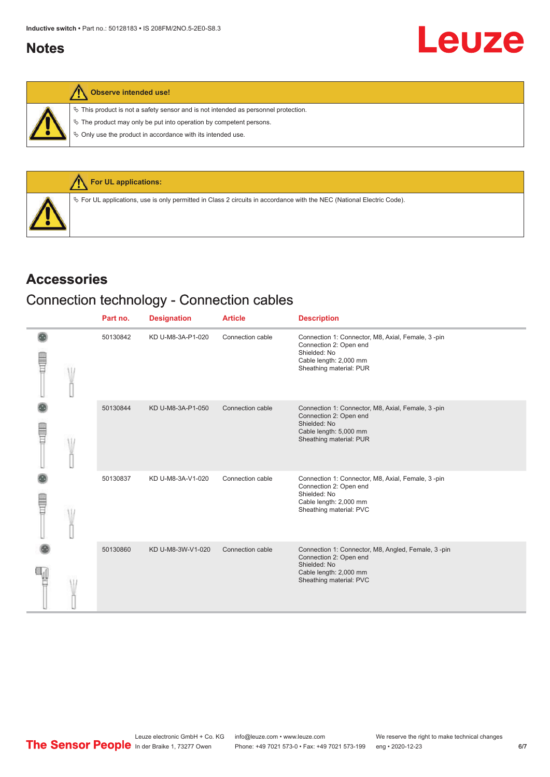#### <span id="page-5-0"></span>**Notes**



**Observe intended use!**

 $\%$  This product is not a safety sensor and is not intended as personnel protection.

 $\&$  The product may only be put into operation by competent persons.

 $\%$  Only use the product in accordance with its intended use.



#### **Accessories**

#### Connection technology - Connection cables

|             | Part no. | <b>Designation</b> | <b>Article</b>   | <b>Description</b>                                                                                                                                |
|-------------|----------|--------------------|------------------|---------------------------------------------------------------------------------------------------------------------------------------------------|
| T           | 50130842 | KD U-M8-3A-P1-020  | Connection cable | Connection 1: Connector, M8, Axial, Female, 3-pin<br>Connection 2: Open end<br>Shielded: No<br>Cable length: 2,000 mm<br>Sheathing material: PUR  |
| Ē           | 50130844 | KD U-M8-3A-P1-050  | Connection cable | Connection 1: Connector, M8, Axial, Female, 3-pin<br>Connection 2: Open end<br>Shielded: No<br>Cable length: 5,000 mm<br>Sheathing material: PUR  |
| <b>TILL</b> | 50130837 | KD U-M8-3A-V1-020  | Connection cable | Connection 1: Connector, M8, Axial, Female, 3-pin<br>Connection 2: Open end<br>Shielded: No<br>Cable length: 2,000 mm<br>Sheathing material: PVC  |
|             | 50130860 | KD U-M8-3W-V1-020  | Connection cable | Connection 1: Connector, M8, Angled, Female, 3-pin<br>Connection 2: Open end<br>Shielded: No<br>Cable length: 2,000 mm<br>Sheathing material: PVC |

Leuze